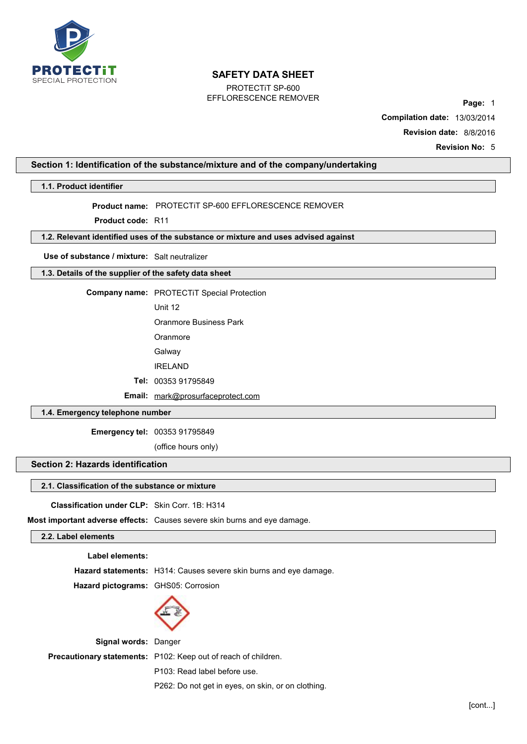

PROTECTiT SP-600 EFFLORESCENCE REMOVER **Page:** <sup>1</sup>

**Compilation date:** 13/03/2014 **Revision date:** 8/8/2016

**Revision No:** 5

# **Section 1: Identification of the substance/mixture and of the company/undertaking**

#### **1.1. Product identifier**

**Product name:** PROTECTiT SP-600 EFFLORESCENCE REMOVER

**Product code:** R11

# **1.2. Relevant identified uses of the substance or mixture and uses advised against**

**Use of substance / mixture:** Salt neutralizer

**1.3. Details of the supplier of the safety data sheet**

**Company name:** PROTECTiT Special Protection

Unit 12

Oranmore Business Park

**Oranmore** 

Galway

IRELAND

**Tel:** 00353 91795849

**Email:** mark@prosurfaceprotect.com

# **1.4. Emergency telephone number**

**Emergency tel:** 00353 91795849

(office hours only)

# **Section 2: Hazards identification**

## **2.1. Classification of the substance or mixture**

**Classification under CLP:** Skin Corr. 1B: H314

**Most important adverse effects:** Causes severe skin burns and eye damage.

# **2.2. Label elements**

**Label elements:**

**Hazard statements:** H314: Causes severe skin burns and eye damage.

**Hazard pictograms:** GHS05: Corrosion



**Signal words:** Danger **Precautionary statements:** P102: Keep out of reach of children. P103: Read label before use.

P262: Do not get in eyes, on skin, or on clothing.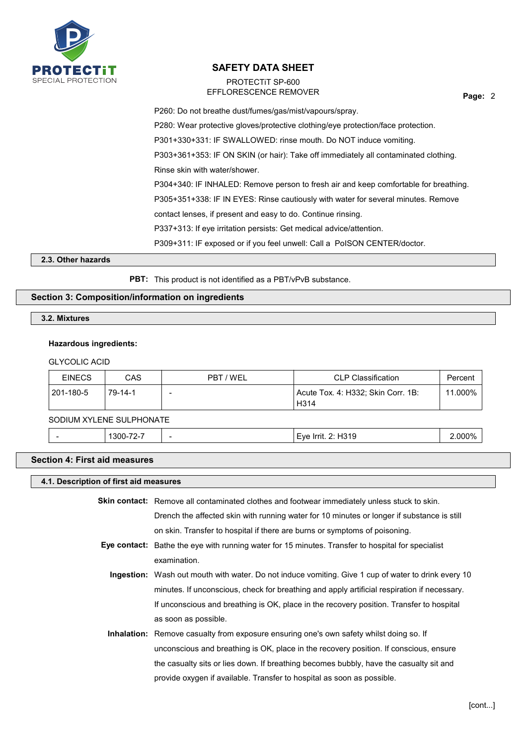

# PROTECTiT SP-600 EFFLORESCENCE REMOVER

**Page:** 2

P260: Do not breathe dust/fumes/gas/mist/vapours/spray. P280: Wear protective gloves/protective clothing/eye protection/face protection. P301+330+331: IF SWALLOWED: rinse mouth. Do NOT induce vomiting. P303+361+353: IF ON SKIN (or hair): Take off immediately all contaminated clothing. Rinse skin with water/shower. P304+340: IF INHALED: Remove person to fresh air and keep comfortable for breathing. P305+351+338: IF IN EYES: Rinse cautiously with water for several minutes. Remove contact lenses, if present and easy to do. Continue rinsing. P337+313: If eye irritation persists: Get medical advice/attention. P309+311: IF exposed or if you feel unwell: Call a PoISON CENTER/doctor.

#### **2.3. Other hazards**

**PBT:** This product is not identified as a PBT/vPvB substance.

## **Section 3: Composition/information on ingredients**

**3.2. Mixtures**

#### **Hazardous ingredients:**

#### GLYCOLIC ACID

| <b>EINECS</b> | CAS     | PBT / WEL | <b>CLP Classification</b>                               | Percent |
|---------------|---------|-----------|---------------------------------------------------------|---------|
| 201-180-5     | 79-14-1 |           | Acute Tox. 4: H332; Skin Corr. 1B:<br>H <sub>3</sub> 14 | 11.000% |

# SODIUM XYLENE SULPHONATE

| $\overline{\phantom{a}}$<br>201<br>l rrit<br>۰۱٬۵<br>` IFFIL.<br>٦١.<br>. .<br>. .<br>-<br> | 000%<br>345<br>. .<br>יטו טו<br>$\sim$ $\sim$ $\sim$<br>. |
|---------------------------------------------------------------------------------------------|-----------------------------------------------------------|
|---------------------------------------------------------------------------------------------|-----------------------------------------------------------|

## **Section 4: First aid measures**

## **4.1. Description of first aid measures**

| <b>Skin contact:</b> Remove all contaminated clothes and footwear immediately unless stuck to skin. |
|-----------------------------------------------------------------------------------------------------|
| Drench the affected skin with running water for 10 minutes or longer if substance is still          |
| on skin. Transfer to hospital if there are burns or symptoms of poisoning.                          |

- **Eye contact:** Bathe the eye with running water for 15 minutes. Transfer to hospital for specialist examination.
	- **Ingestion:** Wash out mouth with water. Do not induce vomiting. Give 1 cup of water to drink every 10 minutes. If unconscious, check for breathing and apply artificial respiration if necessary. If unconscious and breathing is OK, place in the recovery position. Transfer to hospital as soon as possible.
	- **Inhalation:** Remove casualty from exposure ensuring one's own safety whilst doing so. If unconscious and breathing is OK, place in the recovery position. If conscious, ensure the casualty sits or lies down. If breathing becomes bubbly, have the casualty sit and provide oxygen if available. Transfer to hospital as soon as possible.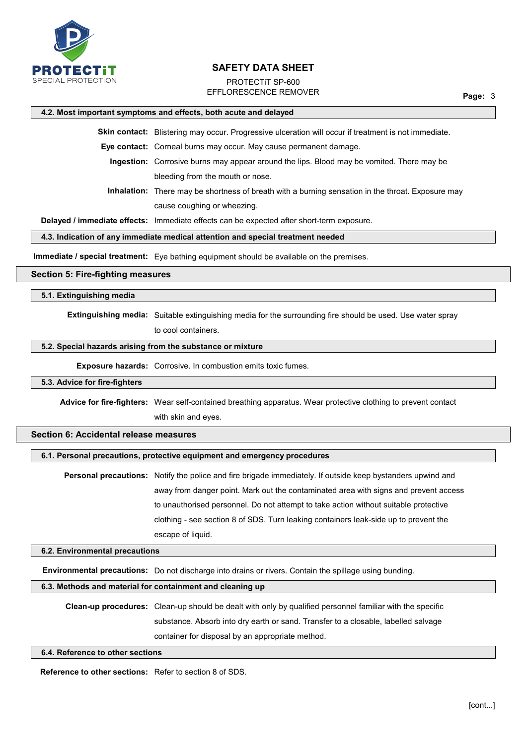

# PROTECTiT SP-600 EFFLORESCENCE REMOVER

**Page:** 3

## **4.2. Most important symptoms and effects, both acute and delayed**

**Skin contact:** Blistering may occur. Progressive ulceration will occur if treatment is not immediate.

**Eye contact:** Corneal burns may occur. May cause permanent damage.

**Ingestion:** Corrosive burns may appear around the lips. Blood may be vomited. There may be bleeding from the mouth or nose.

**Inhalation:** There may be shortness of breath with a burning sensation in the throat. Exposure may cause coughing or wheezing.

**Delayed / immediate effects:** Immediate effects can be expected after short-term exposure.

## **4.3. Indication of any immediate medical attention and special treatment needed**

**Immediate / special treatment:** Eye bathing equipment should be available on the premises.

#### **Section 5: Fire-fighting measures**

#### **5.1. Extinguishing media**

**Extinguishing media:** Suitable extinguishing media for the surrounding fire should be used. Use water spray

to cool containers.

### **5.2. Special hazards arising from the substance or mixture**

**Exposure hazards:** Corrosive. In combustion emits toxic fumes.

# **5.3. Advice for fire-fighters**

**Advice for fire-fighters:** Wear self-contained breathing apparatus. Wear protective clothing to prevent contact with skin and eyes.

# **Section 6: Accidental release measures**

### **6.1. Personal precautions, protective equipment and emergency procedures**

**Personal precautions:** Notify the police and fire brigade immediately. If outside keep bystanders upwind and away from danger point. Mark out the contaminated area with signs and prevent access to unauthorised personnel. Do not attempt to take action without suitable protective clothing - see section 8 of SDS. Turn leaking containers leak-side up to prevent the escape of liquid.

#### **6.2. Environmental precautions**

**Environmental precautions:** Do not discharge into drains or rivers. Contain the spillage using bunding.

#### **6.3. Methods and material for containment and cleaning up**

**Clean-up procedures:** Clean-up should be dealt with only by qualified personnel familiar with the specific substance. Absorb into dry earth or sand. Transfer to a closable, labelled salvage container for disposal by an appropriate method.

### **6.4. Reference to other sections**

**Reference to other sections:** Refer to section 8 of SDS.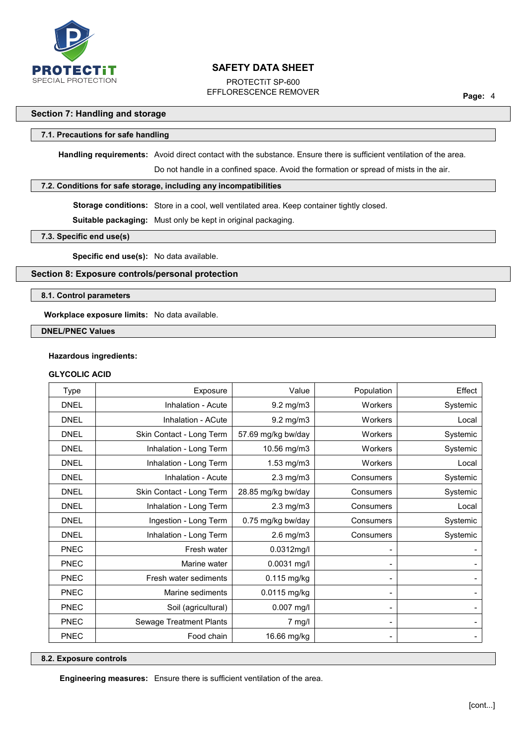

PROTECTiT SP-600 EFFLORESCENCE REMOVER

**Page:** 4

# **Section 7: Handling and storage**

#### **7.1. Precautions for safe handling**

**Handling requirements:** Avoid direct contact with the substance. Ensure there is sufficient ventilation of the area.

Do not handle in a confined space. Avoid the formation or spread of mists in the air.

#### **7.2. Conditions for safe storage, including any incompatibilities**

**Storage conditions:** Store in a cool, well ventilated area. Keep container tightly closed.

**Suitable packaging:** Must only be kept in original packaging.

**7.3. Specific end use(s)**

**Specific end use(s):** No data available.

### **Section 8: Exposure controls/personal protection**

#### **8.1. Control parameters**

**Workplace exposure limits:** No data available.

**DNEL/PNEC Values**

### **Hazardous ingredients:**

# **GLYCOLIC ACID**

| <b>Type</b> | Exposure                 | Value              | Population                                                                                                                                        | Effect   |
|-------------|--------------------------|--------------------|---------------------------------------------------------------------------------------------------------------------------------------------------|----------|
| <b>DNEL</b> | Inhalation - Acute       | 9.2 mg/m3          | Workers                                                                                                                                           | Systemic |
| <b>DNEL</b> | Inhalation - ACute       | $9.2$ mg/m $3$     | Workers                                                                                                                                           | Local    |
| <b>DNEL</b> | Skin Contact - Long Term | 57.69 mg/kg bw/day | Workers                                                                                                                                           | Systemic |
| <b>DNEL</b> | Inhalation - Long Term   | 10.56 mg/m3        | Workers                                                                                                                                           | Systemic |
| <b>DNEL</b> | Inhalation - Long Term   | 1.53 mg/m3         | Workers                                                                                                                                           | Local    |
| <b>DNEL</b> | Inhalation - Acute       | $2.3$ mg/m $3$     | Consumers                                                                                                                                         | Systemic |
| <b>DNEL</b> | Skin Contact - Long Term | 28.85 mg/kg bw/day | Consumers                                                                                                                                         | Systemic |
| <b>DNEL</b> | Inhalation - Long Term   | $2.3$ mg/m $3$     | Consumers                                                                                                                                         | Local    |
| <b>DNEL</b> | Ingestion - Long Term    | 0.75 mg/kg bw/day  | Consumers                                                                                                                                         | Systemic |
| <b>DNEL</b> | Inhalation - Long Term   | $2.6$ mg/m $3$     | Consumers                                                                                                                                         | Systemic |
| <b>PNEC</b> | Fresh water              | 0.0312mg/l         |                                                                                                                                                   |          |
| <b>PNEC</b> | Marine water             | $0.0031$ mg/l      |                                                                                                                                                   |          |
| <b>PNEC</b> | Fresh water sediments    | 0.115 mg/kg        |                                                                                                                                                   |          |
| <b>PNEC</b> | Marine sediments         | 0.0115 mg/kg       |                                                                                                                                                   |          |
| <b>PNEC</b> | Soil (agricultural)      | $0.007$ mg/l       | $\blacksquare$                                                                                                                                    |          |
| <b>PNEC</b> | Sewage Treatment Plants  | $7$ mg/l           | $\blacksquare$                                                                                                                                    |          |
| <b>PNEC</b> | Food chain               | 16.66 mg/kg        | $\hskip1.6pt\hskip1.6pt\hskip1.6pt\hskip1.6pt\hskip1.6pt\hskip1.6pt\hskip1.6pt\hskip1.6pt\hskip1.6pt\hskip1.6pt\hskip1.6pt\hskip1.6pt\hskip1.6pt$ |          |

#### **8.2. Exposure controls**

**Engineering measures:** Ensure there is sufficient ventilation of the area.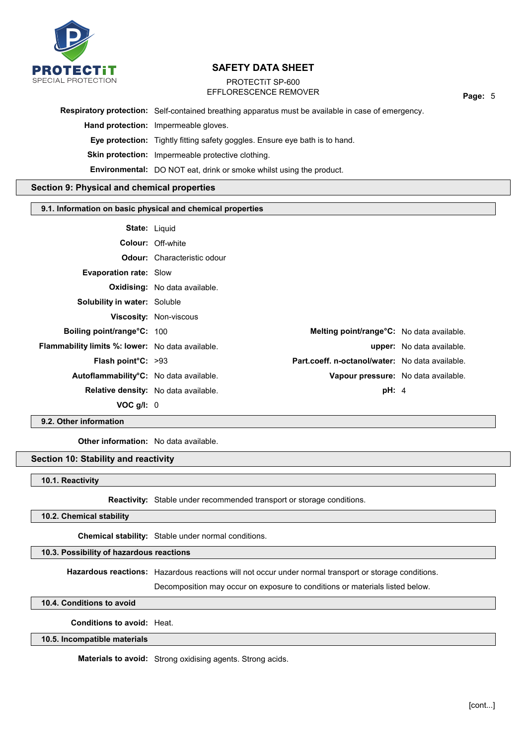

# PROTECTiT SP-600 EFFLORESCENCE REMOVER

**Page:** 5

**Respiratory protection:** Self-contained breathing apparatus must be available in case of emergency.

**Hand protection:** Impermeable gloves.

**Eye protection:** Tightly fitting safety goggles. Ensure eye bath is to hand.

**Skin protection:** Impermeable protective clothing.

**Environmental:** DO NOT eat, drink or smoke whilst using the product.

## **Section 9: Physical and chemical properties**

#### **9.1. Information on basic physical and chemical properties**

| <b>State: Liquid</b>                                    |                                      |                                                  |                                  |
|---------------------------------------------------------|--------------------------------------|--------------------------------------------------|----------------------------------|
|                                                         | <b>Colour: Off-white</b>             |                                                  |                                  |
|                                                         | <b>Odour:</b> Characteristic odour   |                                                  |                                  |
| <b>Evaporation rate: Slow</b>                           |                                      |                                                  |                                  |
|                                                         | <b>Oxidising:</b> No data available. |                                                  |                                  |
| Solubility in water: Soluble                            |                                      |                                                  |                                  |
|                                                         | <b>Viscosity: Non-viscous</b>        |                                                  |                                  |
| <b>Boiling point/range°C: 100</b>                       |                                      | <b>Melting point/range°C:</b> No data available. |                                  |
| <b>Flammability limits %: lower:</b> No data available. |                                      |                                                  | <b>upper:</b> No data available. |
| <b>Flash point <math>C: &gt;93</math></b>               |                                      | Part.coeff. n-octanol/water: No data available.  |                                  |
| Autoflammability <sup>o</sup> C: No data available.     |                                      | Vapour pressure: No data available.              |                                  |
| <b>Relative density:</b> No data available.             |                                      | pH: 4                                            |                                  |
| $VOC$ g/l: $0$                                          |                                      |                                                  |                                  |

# **9.2. Other information**

**Other information:** No data available.

## **Section 10: Stability and reactivity**

**10.1. Reactivity**

**Reactivity:** Stable under recommended transport or storage conditions.

## **10.2. Chemical stability**

**Chemical stability:** Stable under normal conditions.

### **10.3. Possibility of hazardous reactions**

**Hazardous reactions:** Hazardous reactions will not occur under normal transport or storage conditions.

Decomposition may occur on exposure to conditions or materials listed below.

**10.4. Conditions to avoid**

**Conditions to avoid:** Heat.

## **10.5. Incompatible materials**

**Materials to avoid:** Strong oxidising agents. Strong acids.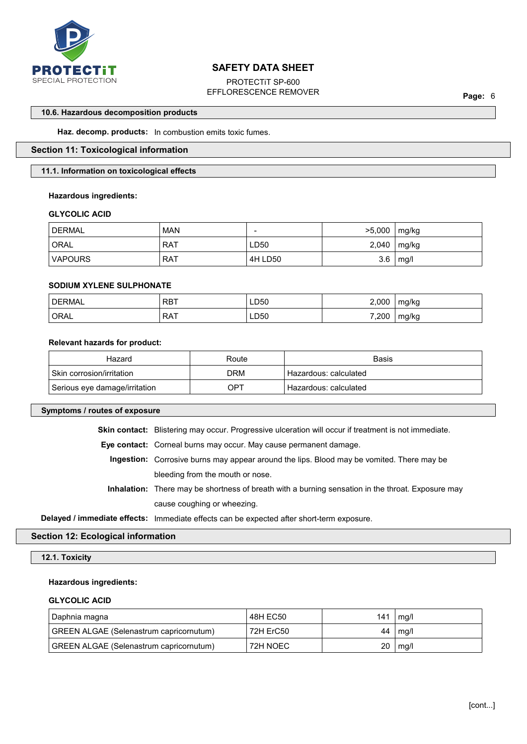

PROTECTiT SP-600 EFFLORESCENCE REMOVER

**Page:** 6

#### **10.6. Hazardous decomposition products**

**Haz. decomp. products:** In combustion emits toxic fumes.

# **Section 11: Toxicological information**

#### **11.1. Information on toxicological effects**

#### **Hazardous ingredients:**

#### **GLYCOLIC ACID**

| <b>DERMAL</b> | <b>MAN</b> | $\overline{\phantom{0}}$ | >5,000 | mg/kg |
|---------------|------------|--------------------------|--------|-------|
| ' ORAL        | <b>RAT</b> | LD50                     | 2,040  | mg/kg |
| VAPOURS       | . RAT      | 4H LD50                  | 3.6    | mg/l  |

# **SODIUM XYLENE SULPHONATE**

| <b>DERMAL</b> | RBT             | LD50 | 2,000 | mg/kg |
|---------------|-----------------|------|-------|-------|
| ORAL          | <b>RAT</b><br>. | ∟D50 | 7,200 | mg/kg |

### **Relevant hazards for product:**

| Hazard                        | Route | Basis                   |
|-------------------------------|-------|-------------------------|
| ' Skin corrosion/irritation   | DRM   | Hazardous: calculated   |
| Serious eye damage/irritation | OPT   | ' Hazardous: calculated |

### **Symptoms / routes of exposure**

**Skin contact:** Blistering may occur. Progressive ulceration will occur if treatment is not immediate.

**Eye contact:** Corneal burns may occur. May cause permanent damage.

**Ingestion:** Corrosive burns may appear around the lips. Blood may be vomited. There may be bleeding from the mouth or nose.

**Inhalation:** There may be shortness of breath with a burning sensation in the throat. Exposure may cause coughing or wheezing.

**Delayed / immediate effects:** Immediate effects can be expected after short-term exposure.

# **Section 12: Ecological information**

#### **12.1. Toxicity**

#### **Hazardous ingredients:**

#### **GLYCOLIC ACID**

| Daphnia magna                                  | 48H EC50  | 141 | mg/l |
|------------------------------------------------|-----------|-----|------|
| <b>GREEN ALGAE (Selenastrum capricornutum)</b> | 72H ErC50 | 44  | mg/l |
| <b>GREEN ALGAE (Selenastrum capricornutum)</b> | 72H NOEC  | 20  | mq/l |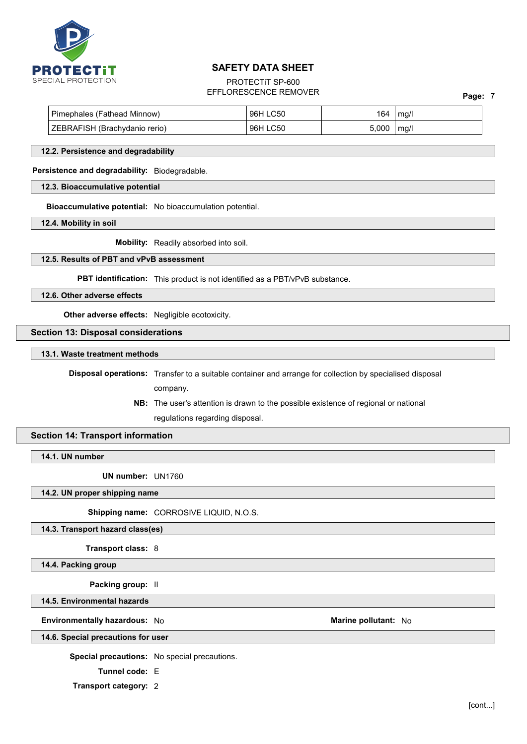

# PROTECTiT SP-600 EFFLORESCENCE REMOVER

| Pimephales (Fathead Minnow)   | LC50<br>96H | 164   | mq/l |  |
|-------------------------------|-------------|-------|------|--|
| ZEBRAFISH (Brachydanio rerio) | .C50<br>96H | 5,000 | mg/l |  |

#### **12.2. Persistence and degradability**

#### **Persistence and degradability:** Biodegradable.

#### **12.3. Bioaccumulative potential**

**Bioaccumulative potential:** No bioaccumulation potential.

**12.4. Mobility in soil**

**Mobility:** Readily absorbed into soil.

### **12.5. Results of PBT and vPvB assessment**

**PBT identification:** This product is not identified as a PBT/vPvB substance.

**12.6. Other adverse effects**

**Other adverse effects:** Negligible ecotoxicity.

**Section 13: Disposal considerations**

**13.1. Waste treatment methods**

**Disposal operations:** Transfer to a suitable container and arrange for collection by specialised disposal company.

> **NB:** The user's attention is drawn to the possible existence of regional or national regulations regarding disposal.

#### **Section 14: Transport information**

**14.1. UN number**

**UN number:** UN1760

**14.2. UN proper shipping name**

**Shipping name:** CORROSIVE LIQUID, N.O.S.

#### **14.3. Transport hazard class(es)**

**Transport class:** 8

**14.4. Packing group**

**Packing group:** II

**14.5. Environmental hazards**

**Environmentally hazardous:** No **Marine pollutant:** No **Marine pollutant:** No

**14.6. Special precautions for user**

**Special precautions:** No special precautions.

**Tunnel code:** E

**Transport category:** 2

**Page:** 7